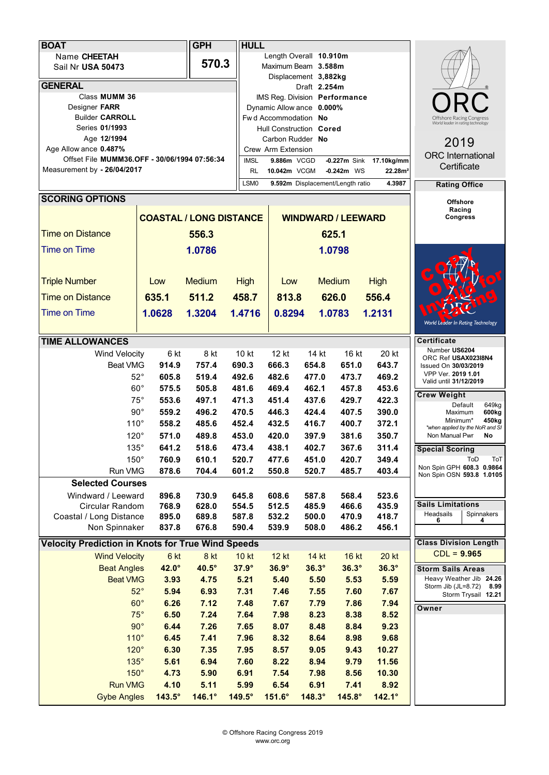| <b>BOAT</b>                                              |                                              |                       | <b>GPH</b>                                                          |                                  | <b>HULL</b>                   |                      |                                                               |              |                                             |                                                  |
|----------------------------------------------------------|----------------------------------------------|-----------------------|---------------------------------------------------------------------|----------------------------------|-------------------------------|----------------------|---------------------------------------------------------------|--------------|---------------------------------------------|--------------------------------------------------|
| Name CHEETAH                                             |                                              |                       | Length Overall 10.910m                                              |                                  |                               |                      |                                                               |              |                                             |                                                  |
|                                                          | Sail Nr USA 50473                            |                       | 570.3                                                               | Maximum Beam 3.588m              |                               |                      |                                                               |              |                                             |                                                  |
|                                                          |                                              |                       |                                                                     |                                  | Displacement 3,882kg          |                      |                                                               |              |                                             |                                                  |
|                                                          | <b>GENERAL</b>                               |                       |                                                                     |                                  | Draft 2.254m                  |                      |                                                               |              |                                             |                                                  |
|                                                          | Class MUMM 36                                |                       |                                                                     |                                  | IMS Reg. Division Performance |                      |                                                               |              |                                             |                                                  |
|                                                          | Designer FARR                                |                       |                                                                     |                                  | Dynamic Allow ance 0.000%     |                      |                                                               |              |                                             |                                                  |
|                                                          | <b>Builder CARROLL</b>                       |                       |                                                                     |                                  | Fwd Accommodation No          |                      | Offshore Racing Congress<br>World leader in rating technology |              |                                             |                                                  |
|                                                          | Series 01/1993                               |                       |                                                                     |                                  | Hull Construction Cored       |                      |                                                               |              |                                             |                                                  |
|                                                          | Age 12/1994                                  |                       |                                                                     |                                  | Carbon Rudder No              | 2019                 |                                                               |              |                                             |                                                  |
|                                                          | Age Allow ance 0.487%                        |                       |                                                                     |                                  | Crew Arm Extension            |                      | <b>ORC</b> International                                      |              |                                             |                                                  |
|                                                          | Offset File MUMM36.OFF - 30/06/1994 07:56:34 |                       |                                                                     |                                  | 9.886m VCGD                   |                      | Certificate                                                   |              |                                             |                                                  |
|                                                          | Measurement by - 26/04/2017                  |                       | 10.042m VCGM<br>$-0.242m$ WS<br>RL<br>22.28m <sup>2</sup><br>4.3987 |                                  |                               |                      |                                                               |              |                                             |                                                  |
|                                                          |                                              |                       | LSM0                                                                | 9.592m Displacement/Length ratio |                               | <b>Rating Office</b> |                                                               |              |                                             |                                                  |
|                                                          | <b>SCORING OPTIONS</b>                       |                       |                                                                     |                                  |                               | <b>Offshore</b>      |                                                               |              |                                             |                                                  |
|                                                          |                                              |                       |                                                                     |                                  |                               |                      |                                                               |              |                                             | Racing                                           |
| <b>COASTAL / LONG DISTANCE</b>                           |                                              |                       |                                                                     | <b>WINDWARD / LEEWARD</b>        |                               |                      |                                                               |              |                                             | Congress                                         |
|                                                          | <b>Time on Distance</b>                      |                       | 556.3                                                               |                                  |                               |                      |                                                               |              |                                             |                                                  |
|                                                          |                                              |                       |                                                                     |                                  |                               | 625.1                |                                                               |              |                                             |                                                  |
|                                                          | <b>Time on Time</b>                          |                       | 1.0786                                                              |                                  |                               | 1.0798               |                                                               |              |                                             |                                                  |
|                                                          |                                              |                       |                                                                     |                                  |                               |                      |                                                               |              |                                             |                                                  |
|                                                          |                                              |                       |                                                                     |                                  |                               |                      |                                                               |              |                                             |                                                  |
|                                                          | <b>Triple Number</b>                         | Low                   | <b>Medium</b>                                                       | <b>High</b>                      | Low                           |                      | <b>Medium</b>                                                 | <b>High</b>  |                                             |                                                  |
|                                                          | <b>Time on Distance</b>                      | 635.1                 | 511.2                                                               | 458.7                            | 813.8                         |                      | 626.0                                                         | 556.4        |                                             |                                                  |
|                                                          | <b>Time on Time</b>                          |                       |                                                                     |                                  |                               |                      |                                                               |              |                                             |                                                  |
|                                                          |                                              | 1.0628                | 1.3204                                                              | 1.4716                           | 0.8294                        |                      | 1.0783                                                        | 1.2131       |                                             | World Leader In Rating Technology                |
|                                                          |                                              |                       |                                                                     |                                  |                               |                      |                                                               |              |                                             |                                                  |
|                                                          | <b>TIME ALLOWANCES</b>                       |                       |                                                                     |                                  |                               |                      |                                                               |              | <b>Certificate</b>                          |                                                  |
|                                                          | Wind Velocity                                | 6 kt                  | 8 kt                                                                | 10 kt                            | 12 kt                         | 14 kt                | 16 kt                                                         | 20 kt        | Number US6204                               |                                                  |
|                                                          | Beat VMG                                     | 914.9                 | 757.4                                                               | 690.3                            | 666.3                         | 654.8                | 651.0                                                         | 643.7        | ORC Ref USAX023I8N4<br>Issued On 30/03/2019 |                                                  |
|                                                          |                                              | $52^{\circ}$<br>605.8 | 519.4                                                               | 492.6                            | 482.6                         | 477.0                | 473.7                                                         | 469.2        | VPP Ver. 2019 1.01                          |                                                  |
|                                                          | $60^{\circ}$                                 | 575.5                 | 505.8                                                               | 481.6                            | 469.4                         | 462.1                | 457.8                                                         | 453.6        | Valid until 31/12/2019                      |                                                  |
|                                                          | $75^{\circ}$                                 | 553.6                 | 497.1                                                               | 471.3                            | 451.4                         | 437.6                | 429.7                                                         | 422.3        | <b>Crew Weight</b>                          |                                                  |
|                                                          |                                              | $90^{\circ}$<br>559.2 | 496.2                                                               | 470.5                            | 446.3                         | 424.4                | 407.5                                                         | 390.0        |                                             | Default<br>649kg<br>600 <sub>kg</sub><br>Maximum |
|                                                          | $110^\circ$                                  | 558.2                 | 485.6                                                               | 452.4                            | 432.5                         | 416.7                | 400.7                                                         | 372.1        |                                             | Minimum*<br>450kg                                |
|                                                          | $120^\circ$                                  | 571.0                 | 489.8                                                               | 453.0                            | 420.0                         | 397.9                | 381.6                                                         | 350.7        | Non Manual Pwr                              | *when applied by the NoR and SI<br>No            |
|                                                          |                                              |                       |                                                                     |                                  |                               |                      |                                                               |              |                                             |                                                  |
|                                                          | 135°                                         | 641.2                 | 518.6                                                               | 473.4                            | 438.1                         | 402.7                | 367.6                                                         | 311.4        | <b>Special Scoring</b>                      |                                                  |
|                                                          | $150^\circ$<br>760.9                         |                       | 610.1                                                               | 520.7                            | 477.6                         | 451.0                | 420.7                                                         | 349.4        |                                             | ToD<br>ToT<br>Non Spin GPH 608.3 0.9864          |
|                                                          | Run VMG<br>878.6                             |                       | 704.4                                                               | 601.2                            | 550.8                         | 520.7                | 485.7                                                         | 403.4        |                                             | Non Spin OSN 593.8 1.0105                        |
|                                                          | <b>Selected Courses</b>                      |                       |                                                                     |                                  |                               |                      |                                                               |              |                                             |                                                  |
|                                                          | Windward / Leeward                           | 896.8                 | 730.9                                                               | 645.8                            | 608.6                         | 587.8                | 568.4                                                         | 523.6        |                                             |                                                  |
|                                                          | Circular Random                              | 768.9                 | 628.0                                                               | 554.5                            | 512.5                         | 485.9                | 466.6                                                         | 435.9        | <b>Sails Limitations</b><br>Headsails       | Spinnakers                                       |
|                                                          | Coastal / Long Distance                      | 895.0                 | 689.8                                                               | 587.8                            | 532.2                         | 500.0                | 470.9                                                         | 418.7        | 6                                           | 4                                                |
|                                                          | Non Spinnaker                                | 837.8                 | 676.8                                                               | 590.4                            | 539.9                         | 508.0                | 486.2                                                         | 456.1        |                                             |                                                  |
| <b>Velocity Prediction in Knots for True Wind Speeds</b> |                                              |                       |                                                                     |                                  |                               |                      |                                                               |              | <b>Class Division Length</b>                |                                                  |
|                                                          | <b>Wind Velocity</b>                         | 6 kt                  | 8 kt                                                                | <b>10 kt</b>                     | <b>12 kt</b>                  | 14 kt                | 16 kt                                                         | <b>20 kt</b> | $CDL = 9.965$                               |                                                  |
|                                                          | <b>Beat Angles</b>                           | 42.0°                 | 40.5°                                                               | $37.9^\circ$                     | $36.9^\circ$                  | $36.3^\circ$         | $36.3^\circ$                                                  | $36.3^\circ$ | <b>Storm Sails Areas</b>                    |                                                  |
|                                                          | <b>Beat VMG</b>                              | 3.93                  | 4.75                                                                | 5.21                             | 5.40                          | 5.50                 | 5.53                                                          | 5.59         |                                             | Heavy Weather Jib 24.26                          |
|                                                          |                                              | $52^\circ$<br>5.94    | 6.93                                                                | 7.31                             | 7.46                          | 7.55                 | 7.60                                                          | 7.67         | Storm Jib (JL=8.72)                         | 8.99                                             |
|                                                          | $60^\circ$                                   | 6.26                  | 7.12                                                                | 7.48                             | 7.67                          | 7.79                 | 7.86                                                          | 7.94         |                                             | Storm Trysail 12.21                              |
|                                                          |                                              | $75^\circ$            |                                                                     |                                  |                               |                      |                                                               |              | Owner                                       |                                                  |
|                                                          |                                              | 6.50                  | 7.24                                                                | 7.64                             | 7.98                          | 8.23                 | 8.38                                                          | 8.52         |                                             |                                                  |
|                                                          | $90^\circ$                                   | 6.44                  | 7.26                                                                | 7.65                             | 8.07                          | 8.48                 | 8.84                                                          | 9.23         |                                             |                                                  |
|                                                          | $110^\circ$                                  | 6.45                  | 7.41                                                                | 7.96                             | 8.32                          | 8.64                 | 8.98                                                          | 9.68         |                                             |                                                  |
|                                                          | $120^\circ$                                  | 6.30                  | 7.35                                                                | 7.95                             | 8.57                          | 9.05                 | 9.43                                                          | 10.27        |                                             |                                                  |
|                                                          | 135°                                         | 5.61                  | 6.94                                                                | 7.60                             | 8.22                          | 8.94                 | 9.79                                                          | 11.56        |                                             |                                                  |
|                                                          | $150^\circ$                                  | 4.73                  | 5.90                                                                | 6.91                             | 7.54                          | 7.98                 | 8.56                                                          | 10.30        |                                             |                                                  |
|                                                          | <b>Run VMG</b>                               | 4.10                  | 5.11                                                                | 5.99                             | 6.54                          | 6.91                 | 7.41                                                          | 8.92         |                                             |                                                  |
|                                                          | <b>Gybe Angles</b>                           | $143.5^\circ$         | 146.1°                                                              | 149.5°                           | 151.6°                        | $148.3^\circ$        | 145.8°                                                        | 142.1°       |                                             |                                                  |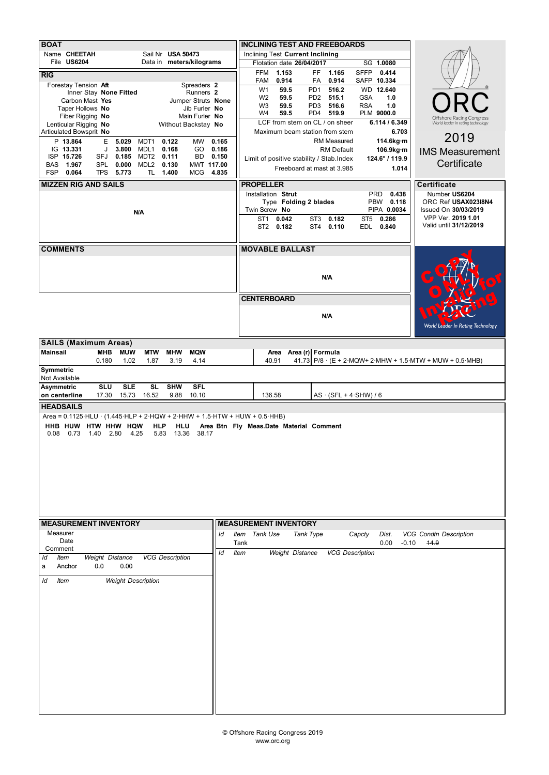|                                                                                                                                                                 |                              | <b>INCLINING TEST AND FREEBOARDS</b>                     |                                             |                                                                                                |  |  |  |  |
|-----------------------------------------------------------------------------------------------------------------------------------------------------------------|------------------------------|----------------------------------------------------------|---------------------------------------------|------------------------------------------------------------------------------------------------|--|--|--|--|
| <b>BOAT</b><br>Name CHEETAH<br>Sail Nr USA 50473                                                                                                                |                              | Inclining Test Current Inclining                         |                                             |                                                                                                |  |  |  |  |
| File US6204<br>Data in meters/kilograms                                                                                                                         |                              | Flotation date 26/04/2017                                | SG 1.0080                                   |                                                                                                |  |  |  |  |
| RIG                                                                                                                                                             | FFM                          | 1.153<br>FF.<br>1.165                                    | <b>SFFP</b><br>0.414                        |                                                                                                |  |  |  |  |
| Forestay Tension Aft<br>Spreaders 2<br>Runners 2                                                                                                                | FAM<br>W <sub>1</sub>        | 0.914<br>FA<br>0.914<br>59.5<br>PD <sub>1</sub><br>516.2 | SAFP 10.334<br>WD 12.640                    |                                                                                                |  |  |  |  |
| Inner Stay None Fitted<br>Carbon Mast Yes<br>Jumper Struts None                                                                                                 | W <sub>2</sub>               | 59.5<br>PD <sub>2</sub><br>515.1                         | <b>GSA</b><br>1.0                           |                                                                                                |  |  |  |  |
| Taper Hollows No<br>Jib Furler No                                                                                                                               | W <sub>3</sub><br>W4         | 59.5<br>PD <sub>3</sub><br>516.6<br>PD4<br>519.9<br>59.5 | <b>RSA</b><br>1.0<br>PLM 9000.0             |                                                                                                |  |  |  |  |
| Fiber Rigging No<br>Main Furler No<br>Lenticular Rigging No<br>Without Backstay No                                                                              |                              | LCF from stem on CL / on sheer                           | 6.114 / 6.349                               | Offshore Racing Congress<br>World leader in rating technology                                  |  |  |  |  |
| Articulated Bowsprit No                                                                                                                                         |                              | Maximum beam station from stem                           | 6.703                                       | 2019                                                                                           |  |  |  |  |
| P 13.864<br>E<br>5.029<br>0.122<br><b>MW</b><br>0.165<br>MDT <sub>1</sub><br>IG 13.331<br>3.800<br>MDL1<br>0.168<br>0.186<br>J<br>GO.                           |                              | <b>RM Measured</b><br><b>RM Default</b>                  | 114.6kg·m<br>106.9kg·m                      | <b>IMS Measurement</b>                                                                         |  |  |  |  |
| ISP 15.726<br>0.111<br>0.150<br>SFJ<br>0.185<br>MDT2<br>BD.                                                                                                     |                              | Limit of positive stability / Stab. Index                | 124.6° / 119.9                              | Certificate                                                                                    |  |  |  |  |
| <b>BAS</b><br>1.967<br><b>SPL</b><br>0.000<br>MDL <sub>2</sub><br>0.130<br>MWT 117.00<br>FSP<br>0.064<br><b>TPS</b><br>5.773<br>TL 1.400<br>MCG 4.835           |                              | Freeboard at mast at 3.985                               | 1.014                                       |                                                                                                |  |  |  |  |
| <b>MIZZEN RIG AND SAILS</b>                                                                                                                                     | <b>PROPELLER</b>             |                                                          | <b>Certificate</b>                          |                                                                                                |  |  |  |  |
|                                                                                                                                                                 | Installation Strut           |                                                          | Number US6204                               |                                                                                                |  |  |  |  |
|                                                                                                                                                                 | Twin Screw No                | Type Folding 2 blades                                    | ORC Ref USAX023I8N4<br>Issued On 30/03/2019 |                                                                                                |  |  |  |  |
| N/A                                                                                                                                                             | ST1                          | 0.042<br>ST3<br>0.182                                    | PIPA 0.0034<br>ST <sub>5</sub><br>0.286     | VPP Ver. 2019 1.01                                                                             |  |  |  |  |
|                                                                                                                                                                 | ST2 0.182                    | 0.110<br>ST4                                             | EDL<br>0.840                                | Valid until 31/12/2019                                                                         |  |  |  |  |
|                                                                                                                                                                 |                              |                                                          |                                             |                                                                                                |  |  |  |  |
| <b>COMMENTS</b>                                                                                                                                                 | <b>MOVABLE BALLAST</b>       |                                                          |                                             |                                                                                                |  |  |  |  |
|                                                                                                                                                                 |                              |                                                          |                                             |                                                                                                |  |  |  |  |
|                                                                                                                                                                 |                              | N/A                                                      |                                             |                                                                                                |  |  |  |  |
|                                                                                                                                                                 |                              |                                                          |                                             |                                                                                                |  |  |  |  |
|                                                                                                                                                                 | <b>CENTERBOARD</b>           |                                                          |                                             |                                                                                                |  |  |  |  |
|                                                                                                                                                                 |                              | N/A                                                      |                                             |                                                                                                |  |  |  |  |
|                                                                                                                                                                 |                              |                                                          |                                             | World Leader In Rating Technology                                                              |  |  |  |  |
| <b>SAILS (Maximum Areas)</b>                                                                                                                                    |                              |                                                          |                                             |                                                                                                |  |  |  |  |
| Mainsail<br><b>MUW</b><br><b>MTW</b><br><b>MHW</b><br><b>MQW</b><br>МНВ                                                                                         |                              | Area Area (r) Formula                                    |                                             |                                                                                                |  |  |  |  |
| 0.180<br>1.02<br>1.87<br>3.19<br>4.14<br>Symmetric                                                                                                              | 40.91                        |                                                          |                                             | 41.73 P/8 $\cdot$ (E + 2 $\cdot$ MQW+ 2 $\cdot$ MHW + 1.5 $\cdot$ MTW + MUW + 0.5 $\cdot$ MHB) |  |  |  |  |
| Not Available                                                                                                                                                   |                              |                                                          |                                             |                                                                                                |  |  |  |  |
| <b>Asymmetric</b><br><b>SLU</b><br><b>SLE</b><br>SL<br><b>SHW</b><br><b>SFL</b><br>16.52<br>9.88<br>on centerline<br>17.30<br>15.73<br>10.10                    | 136.58                       | $AS \cdot (SFL + 4 \cdot SHW) / 6$                       |                                             |                                                                                                |  |  |  |  |
| <b>HEADSAILS</b>                                                                                                                                                |                              |                                                          |                                             |                                                                                                |  |  |  |  |
| Area = 0.1125 HLU · (1.445 HLP + 2 HQW + 2 HHW + 1.5 HTW + HUW + 0.5 HHB)                                                                                       |                              |                                                          |                                             |                                                                                                |  |  |  |  |
| HHB HUW HTW HHW<br><b>HQW</b><br><b>HLP</b><br>Area Btn Fly Meas.Date Material Comment<br>HLU<br>0.73<br>1.40<br>2.80<br>13.36<br>0.08<br>4.25<br>5.83<br>38.17 |                              |                                                          |                                             |                                                                                                |  |  |  |  |
|                                                                                                                                                                 |                              |                                                          |                                             |                                                                                                |  |  |  |  |
|                                                                                                                                                                 |                              |                                                          |                                             |                                                                                                |  |  |  |  |
|                                                                                                                                                                 |                              |                                                          |                                             |                                                                                                |  |  |  |  |
|                                                                                                                                                                 |                              |                                                          |                                             |                                                                                                |  |  |  |  |
|                                                                                                                                                                 |                              |                                                          |                                             |                                                                                                |  |  |  |  |
|                                                                                                                                                                 |                              |                                                          |                                             |                                                                                                |  |  |  |  |
|                                                                                                                                                                 |                              |                                                          |                                             |                                                                                                |  |  |  |  |
| <b>MEASUREMENT INVENTORY</b><br>Measurer                                                                                                                        | <b>MEASUREMENT INVENTORY</b> |                                                          |                                             |                                                                                                |  |  |  |  |
| ld<br>Date                                                                                                                                                      | Item Tank Use<br>Tank        | Tank Type                                                | Capcty<br>Dist.<br>0.00                     | <b>VCG Condtn Description</b><br>$-0.10$<br>14.9                                               |  |  |  |  |
| Comment<br>ld<br><b>VCG Description</b><br><b>Weight Distance</b><br>ld<br>Item                                                                                 | Item                         | <b>Weight Distance</b>                                   | <b>VCG Description</b>                      |                                                                                                |  |  |  |  |
| 0.0<br>0.00<br>Anchor<br>a                                                                                                                                      |                              |                                                          |                                             |                                                                                                |  |  |  |  |
| ld<br><b>Weight Description</b><br>Item                                                                                                                         |                              |                                                          |                                             |                                                                                                |  |  |  |  |
|                                                                                                                                                                 |                              |                                                          |                                             |                                                                                                |  |  |  |  |
|                                                                                                                                                                 |                              |                                                          |                                             |                                                                                                |  |  |  |  |
|                                                                                                                                                                 |                              |                                                          |                                             |                                                                                                |  |  |  |  |
|                                                                                                                                                                 |                              |                                                          |                                             |                                                                                                |  |  |  |  |
|                                                                                                                                                                 |                              |                                                          |                                             |                                                                                                |  |  |  |  |
|                                                                                                                                                                 |                              |                                                          |                                             |                                                                                                |  |  |  |  |
|                                                                                                                                                                 |                              |                                                          |                                             |                                                                                                |  |  |  |  |
|                                                                                                                                                                 |                              |                                                          |                                             |                                                                                                |  |  |  |  |
|                                                                                                                                                                 |                              |                                                          |                                             |                                                                                                |  |  |  |  |
|                                                                                                                                                                 |                              |                                                          |                                             |                                                                                                |  |  |  |  |
|                                                                                                                                                                 |                              |                                                          |                                             |                                                                                                |  |  |  |  |